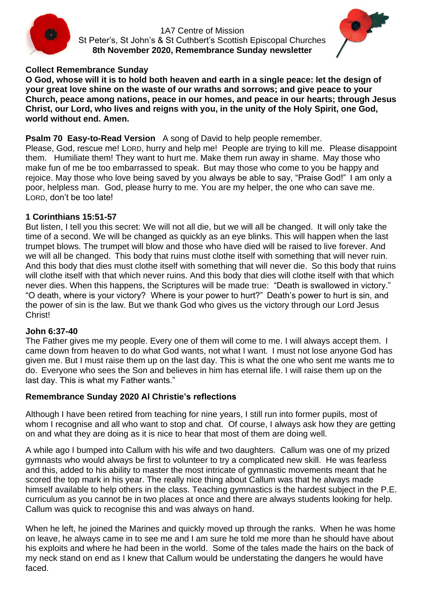

1A7 Centre of Mission St Peter's, St John's & St Cuthbert's Scottish Episcopal Churches **8th November 2020, Remembrance Sunday newsletter**



### **Collect Remembrance Sunday**

**O God, whose will it is to hold both heaven and earth in a single peace: let the design of your great love shine on the waste of our wraths and sorrows; and give peace to your Church, peace among nations, peace in our homes, and peace in our hearts; through Jesus Christ, our Lord, who lives and reigns with you, in the unity of the Holy Spirit, one God, world without end. Amen.**

### **Psalm 70 Easy-to-Read Version** A song of David to help people remember.

Please, God, rescue me! LORD, hurry and help me! People are trying to kill me. Please disappoint them. Humiliate them! They want to hurt me. Make them run away in shame. May those who make fun of me be too embarrassed to speak. But may those who come to you be happy and rejoice. May those who love being saved by you always be able to say, "Praise God!" I am only a poor, helpless man. God, please hurry to me. You are my helper, the one who can save me. LORD, don't be too late!

#### **1 Corinthians 15:51-57**

But listen, I tell you this secret: We will not all die, but we will all be changed. It will only take the time of a second. We will be changed as quickly as an eye blinks. This will happen when the last trumpet blows. The trumpet will blow and those who have died will be raised to live forever. And we will all be changed. This body that ruins must clothe itself with something that will never ruin. And this body that dies must clothe itself with something that will never die. So this body that ruins will clothe itself with that which never ruins. And this body that dies will clothe itself with that which never dies. When this happens, the Scriptures will be made true: "Death is swallowed in victory." "O death, where is your victory? Where is your power to hurt?" Death's power to hurt is sin, and the power of sin is the law. But we thank God who gives us the victory through our Lord Jesus Christ!

#### **John 6:37-40**

The Father gives me my people. Every one of them will come to me. I will always accept them. I came down from heaven to do what God wants, not what I want. I must not lose anyone God has given me. But I must raise them up on the last day. This is what the one who sent me wants me to do. Everyone who sees the Son and believes in him has eternal life. I will raise them up on the last day. This is what my Father wants."

#### **Remembrance Sunday 2020 Al Christie's reflections**

Although I have been retired from teaching for nine years, I still run into former pupils, most of whom I recognise and all who want to stop and chat. Of course, I always ask how they are getting on and what they are doing as it is nice to hear that most of them are doing well.

A while ago I bumped into Callum with his wife and two daughters. Callum was one of my prized gymnasts who would always be first to volunteer to try a complicated new skill. He was fearless and this, added to his ability to master the most intricate of gymnastic movements meant that he scored the top mark in his year. The really nice thing about Callum was that he always made himself available to help others in the class. Teaching gymnastics is the hardest subject in the P.E. curriculum as you cannot be in two places at once and there are always students looking for help. Callum was quick to recognise this and was always on hand.

When he left, he joined the Marines and quickly moved up through the ranks. When he was home on leave, he always came in to see me and I am sure he told me more than he should have about his exploits and where he had been in the world. Some of the tales made the hairs on the back of my neck stand on end as I knew that Callum would be understating the dangers he would have faced.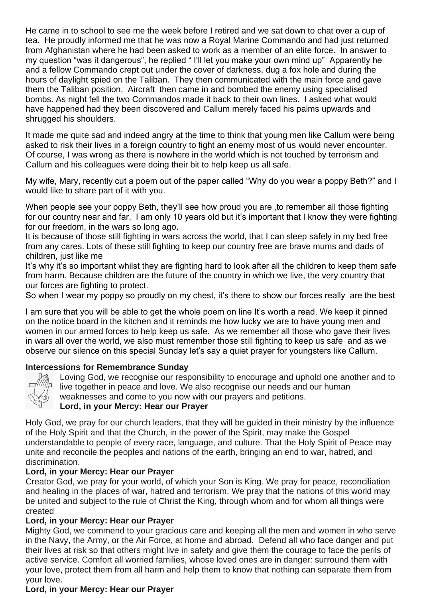He came in to school to see me the week before I retired and we sat down to chat over a cup of tea. He proudly informed me that he was now a Royal Marine Commando and had just returned from Afghanistan where he had been asked to work as a member of an elite force. In answer to my question "was it dangerous", he replied " I'll let you make your own mind up" Apparently he and a fellow Commando crept out under the cover of darkness, dug a fox hole and during the hours of daylight spied on the Taliban. They then communicated with the main force and gave them the Taliban position. Aircraft then came in and bombed the enemy using specialised bombs. As night fell the two Commandos made it back to their own lines. I asked what would have happened had they been discovered and Callum merely faced his palms upwards and shrugged his shoulders.

It made me quite sad and indeed angry at the time to think that young men like Callum were being asked to risk their lives in a foreign country to fight an enemy most of us would never encounter. Of course, I was wrong as there is nowhere in the world which is not touched by terrorism and Callum and his colleagues were doing their bit to help keep us all safe.

My wife, Mary, recently cut a poem out of the paper called "Why do you wear a poppy Beth?" and I would like to share part of it with you.

When people see your poppy Beth, they'll see how proud you are , to remember all those fighting for our country near and far. I am only 10 years old but it's important that I know they were fighting for our freedom, in the wars so long ago.

It is because of those still fighting in wars across the world, that I can sleep safely in my bed free from any cares. Lots of these still fighting to keep our country free are brave mums and dads of children, just like me

It's why it's so important whilst they are fighting hard to look after all the children to keep them safe from harm. Because children are the future of the country in which we live, the very country that our forces are fighting to protect.

So when I wear my poppy so proudly on my chest, it's there to show our forces really are the best

I am sure that you will be able to get the whole poem on line It's worth a read. We keep it pinned on the notice board in the kitchen and it reminds me how lucky we are to have young men and women in our armed forces to help keep us safe. As we remember all those who gave their lives in wars all over the world, we also must remember those still fighting to keep us safe and as we observe our silence on this special Sunday let's say a quiet prayer for youngsters like Callum.

#### **Intercessions for Remembrance Sunday**



Loving God, we recognise our responsibility to encourage and uphold one another and to live together in peace and love. We also recognise our needs and our human weaknesses and come to you now with our prayers and petitions.

#### **Lord, in your Mercy: Hear our Prayer**

Holy God, we pray for our church leaders, that they will be guided in their ministry by the influence of the Holy Spirit and that the Church, in the power of the Spirit, may make the Gospel understandable to people of every race, language, and culture. That the Holy Spirit of Peace may unite and reconcile the peoples and nations of the earth, bringing an end to war, hatred, and discrimination.

# **Lord, in your Mercy: Hear our Prayer**

Creator God, we pray for your world, of which your Son is King. We pray for peace, reconciliation and healing in the places of war, hatred and terrorism. We pray that the nations of this world may be united and subject to the rule of Christ the King, through whom and for whom all things were created

# **Lord, in your Mercy: Hear our Prayer**

Mighty God, we commend to your gracious care and keeping all the men and women in who serve in the Navy, the Army, or the Air Force, at home and abroad. Defend all who face danger and put their lives at risk so that others might live in safety and give them the courage to face the perils of active service. Comfort all worried families, whose loved ones are in danger: surround them with your love, protect them from all harm and help them to know that nothing can separate them from your love.

# **Lord, in your Mercy: Hear our Prayer**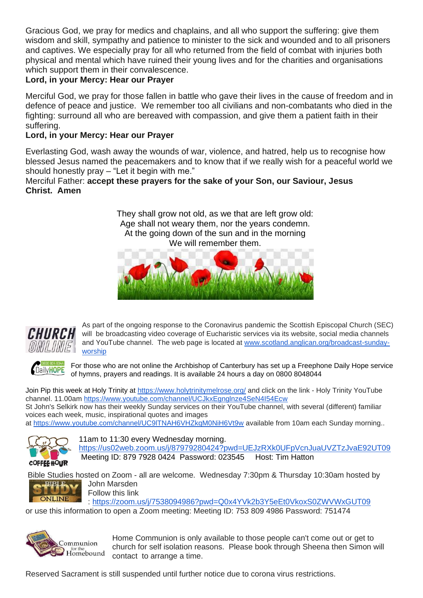Gracious God, we pray for medics and chaplains, and all who support the suffering: give them wisdom and skill, sympathy and patience to minister to the sick and wounded and to all prisoners and captives. We especially pray for all who returned from the field of combat with injuries both physical and mental which have ruined their young lives and for the charities and organisations which support them in their convalescence.

# **Lord, in your Mercy: Hear our Prayer**

Merciful God, we pray for those fallen in battle who gave their lives in the cause of freedom and in defence of peace and justice. We remember too all civilians and non-combatants who died in the fighting: surround all who are bereaved with compassion, and give them a patient faith in their suffering.

# **Lord, in your Mercy: Hear our Prayer**

Everlasting God, wash away the wounds of war, violence, and hatred, help us to recognise how blessed Jesus named the peacemakers and to know that if we really wish for a peaceful world we should honestly pray – "Let it begin with me."

Merciful Father: **accept these prayers for the sake of your Son, our Saviour, Jesus Christ. Amen**

> They shall grow not old, as we that are left grow old: Age shall not weary them, nor the years condemn. At the going down of the sun and in the morning We will remember them.





As part of the ongoing response to the Coronavirus pandemic the Scottish Episcopal Church (SEC) will be broadcasting video coverage of Eucharistic services via its website, social media channels and YouTube channel. The web page is located at [www.scotland.anglican.org/broadcast-sunday](http://www.scotland.anglican.org/broadcast-sunday-worship)[worship](http://www.scotland.anglican.org/broadcast-sunday-worship)



For those who are not online the Archbishop of Canterbury has set up a Freephone Daily Hope service of hymns, prayers and readings. It is available 24 hours a day on 0800 8048044

Join Pip this week at Holy Trinity at<https://www.holytrinitymelrose.org/> and click on the link - Holy Trinity YouTube channel. 11.00am<https://www.youtube.com/channel/UCJkxEgnglnze4SeN4I54Ecw>

St John's Selkirk now has their weekly Sunday services on their YouTube channel, with several (different) familiar voices each week, music, inspirational quotes and images

at https://www.youtube.com/channel/UC9ITNAH6VHZkqM0NiH6Vt9w available from 10am each Sunday morning..



11am to 11:30 every Wednesday morning.

<https://us02web.zoom.us/j/87979280424?pwd=UEJzRXk0UFpVcnJuaUVZTzJvaE92UT09> Meeting ID: 879 7928 0424 Password: 023545 Host: Tim Hatton

Bible Studies hosted on Zoom - all are welcome. Wednesday 7:30pm & Thursday 10:30am hosted by<br> **CHAPLE MARK** John Marsden



John Marsden Follow this link

: <https://zoom.us/j/7538094986?pwd=Q0x4YVk2b3Y5eEt0VkoxS0ZWVWxGUT09>

or use this information to open a Zoom meeting: Meeting ID: 753 809 4986 Password: 751474



Home Communion is only available to those people can't come out or get to church for self isolation reasons. Please book through Sheena then Simon will contact to arrange a time.

Reserved Sacrament is still suspended until further notice due to corona virus restrictions.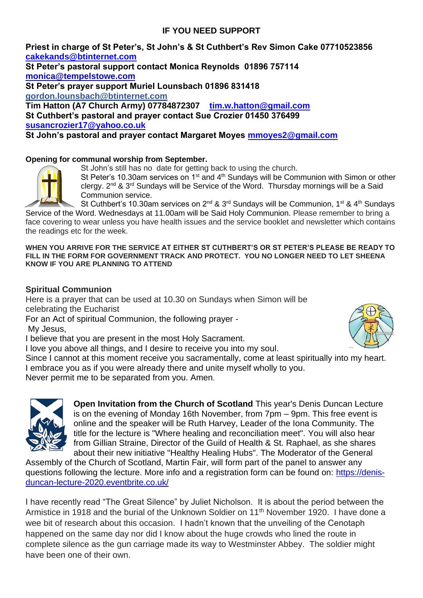# **IF YOU NEED SUPPORT**

**Priest in charge of St Peter's, St John's & St Cuthbert's Rev Simon Cake 07710523856 [cakekands@btinternet.com](mailto:cakekands@btinternet.com)**

**St Peter's pastoral support contact Monica Reynolds 01896 757114 [monica@tempelstowe.com](mailto:monica@tempelstowe.com) St Peter's prayer support Muriel Lounsbach 01896 831418 gordon.lounsbach@btinternet.com Tim Hatton (A7 Church Army) 07784872307 [tim.w.hatton@gmail.com](mailto:tim.w.hutton@gmail.com) St Cuthbert's pastoral and prayer contact Sue Crozier 01450 376499** 

**[susancrozier17@yahoo.co.uk](mailto:susancrozier17@yahoo.co.uk)**

**St John's pastoral and prayer contact Margaret Moyes [mmoyes2@gmail.com](mailto:mmoyes2@gmail.com)**

#### **Opening for communal worship from September[.](https://l.facebook.com/l.php?u=https%3A%2F%2Fwww.strava.com%2Factivities%2F4115144364%3Ffbclid%3DIwAR2dp0V7bZw56KZNe7vvvP6qvLImkA5BNccKKFT60WPFMxOmexhBDMqE1hk&h=AT06T4e_7h6ZApB1oGWjk7pLBQ-K3FrXkDzPu-3dIUW9Yq2uWgVHvA1iH9D2G0qHAEzsVf6iZSPLYjt6IIPAEnVxcjXeHb_PKNtCimTKWYec9eSyBG-fhPgCt_GQiLPKta1r&__tn__=H-R&c%5b0%5d=AT0geC5tx4HBtnuUp3gCeEzYdFpe7hKghWt3IPt71OMD54KpTLRZ2BoA0MuMeWwHlfudxO2cBtPJ9so98nMDTcbxTJGAgh-8HbIfpS2DmXnwskBFa3Rkq0KNMefG4EVpFLNqSFOwfcU5q9TBFeRBz7HaUNslyrmv_jq4-z_aqyrBursxAXDT8wGoXyLBHCyTB8npD5HEm393dr1yc9xU8_Tzaw)**



St John's still has no date for getting back to using the church.

St Peter's 10.30am services on 1<sup>st</sup> and 4<sup>th</sup> Sundays will be Communion with Simon or other clergy. 2<sup>nd</sup> & 3<sup>rd</sup> Sundays will be Service of the Word. Thursday mornings will be a Said Communion service.

St Cuthbert's 10.30am services on  $2^{nd}$  &  $3^{rd}$  Sundays will be Communion, 1<sup>st</sup> & 4<sup>th</sup> Sundays Service of the Word. Wednesdays at 11.00am will be Said Holy Communion. Please remember to bring a face covering to wear unless you have health issues and the service booklet and newsletter which contains the readings etc for the week.

#### **WHEN YOU ARRIVE FOR THE SERVICE AT EITHER ST CUTHBERT'S OR ST PETER'S PLEASE BE READY TO FILL IN THE FORM FOR GOVERNMENT TRACK AND PROTECT. YOU NO LONGER NEED TO LET SHEENA KNOW IF YOU ARE PLANNING TO ATTEND**

# **Spiritual Communion**

Here is a prayer that can be used at 10.30 on Sundays when Simon will be celebrating the Eucharist

For an Act of spiritual Communion, the following prayer -

My Jesus,

I believe that you are present in the most Holy Sacrament.

I love you above all things, and I desire to receive you into my soul.

Since I cannot at this moment receive you sacramentally, come at least spiritually into my heart. I embrace you as if you were already there and unite myself wholly to you.

Never permit me to be separated from you. Amen.



**Open Invitation from the Church of Scotland** This year's Denis Duncan Lecture is on the evening of Monday 16th November, from 7pm – 9pm. This free event is online and the speaker will be Ruth Harvey, Leader of the Iona Community. The title for the lecture is "Where healing and reconciliation meet". You will also hear from Gillian Straine, Director of the Guild of Health & St. Raphael, as she shares about their new initiative "Healthy Healing Hubs". The Moderator of the General

Assembly of the Church of Scotland, Martin Fair, will form part of the panel to answer any questions following the lecture. More info and a registration form can be found on: [https://denis](https://denis-duncan-lecture-2020.eventbrite.co.uk/)[duncan-lecture-2020.eventbrite.co.uk/](https://denis-duncan-lecture-2020.eventbrite.co.uk/) 

I have recently read "The Great Silence" by Juliet Nicholson. It is about the period between the Armistice in 1918 and the burial of the Unknown Soldier on 11<sup>th</sup> November 1920. I have done a wee bit of research about this occasion. I hadn't known that the unveiling of the Cenotaph happened on the same day nor did I know about the huge crowds who lined the route in complete silence as the gun carriage made its way to Westminster Abbey. The soldier might have been one of their own.

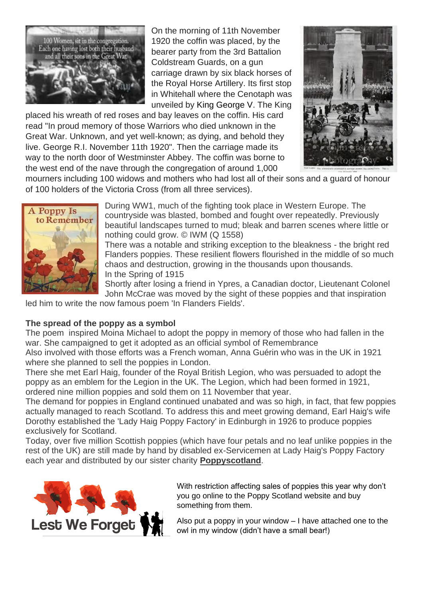

On the morning of 11th November 1920 the coffin was placed, by the bearer party from the 3rd Battalion Coldstream Guards, on a gun carriage drawn by six black horses of the Royal Horse Artillery. Its first stop in Whitehall where the Cenotaph was unveiled by [King George V.](about:blank) The King

placed his wreath of red roses and bay leaves on the coffin. His card read "In proud memory of those Warriors who died unknown in the Great War. Unknown, and yet well-known; as dying, and behold they live. George R.I. November 11th 1920". Then the carriage made its way to the north door of Westminster Abbey. The coffin was borne to the west end of the nave through the congregation of around 1,000



mourners including 100 widows and mothers who had lost all of their sons and a guard of honour of 100 holders of the Victoria Cross (from all three services).



During WW1, much of the fighting took place in Western Europe. The countryside was blasted, bombed and fought over repeatedly. Previously beautiful landscapes turned to mud; bleak and barren scenes where little or nothing could grow. © IWM (Q 1558)

There was a notable and striking exception to the bleakness - the bright red Flanders poppies. These resilient flowers flourished in the middle of so much chaos and destruction, growing in the thousands upon thousands. In the Spring of 1915

Shortly after losing a friend in Ypres, a Canadian doctor, Lieutenant Colonel John McCrae was moved by the sight of these poppies and that inspiration

led him to write the now famous poem 'In Flanders Fields'.

# **The spread of the poppy as a symbol**

The poem inspired Moina Michael to adopt the poppy in memory of those who had fallen in the war. She campaigned to get it adopted as an official symbol of Remembrance

Also involved with those efforts was a French woman, Anna Guérin who was in the UK in 1921 where she planned to sell the poppies in London.

There she met Earl Haig, founder of the Royal British Legion, who was persuaded to adopt the poppy as an emblem for the Legion in the UK. The Legion, which had been formed in 1921, ordered nine million poppies and sold them on 11 November that year.

The demand for poppies in England continued unabated and was so high, in fact, that few poppies actually managed to reach Scotland. To address this and meet growing demand, Earl Haig's wife Dorothy established the 'Lady Haig Poppy Factory' in Edinburgh in 1926 to produce poppies exclusively for Scotland.

Today, over five million Scottish poppies (which have four petals and no leaf unlike poppies in the rest of the UK) are still made by hand by disabled ex-Servicemen at Lady Haig's Poppy Factory each year and distributed by our sister charity **Poppyscotland**.



With restriction affecting sales of poppies this year why don't you go online to the Poppy Scotland website and buy something from them.

Also put a poppy in your window – I have attached one to the owl in my window (didn't have a small bear!)